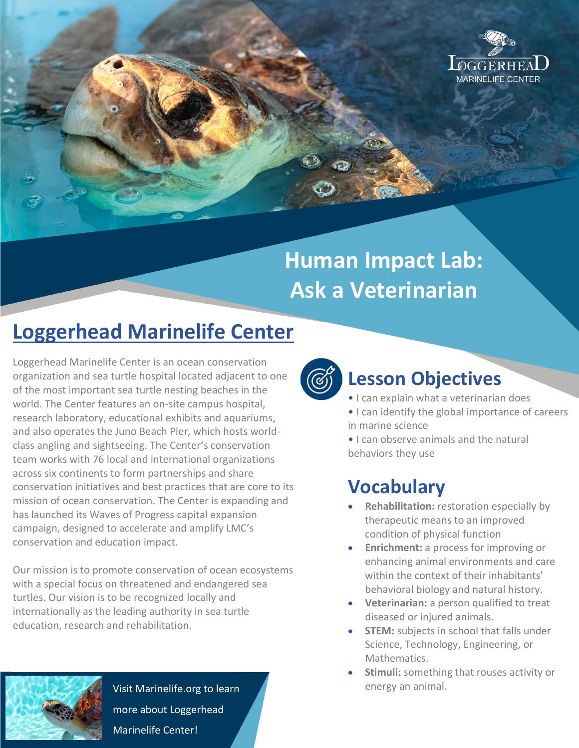

# **Human Impact Lab: Ask a Veterinarian**

# **Loggerhead Marinelife Center**

Loggerhead Marinelife Center is an ocean conservation organization and sea turtle hospital located adjacent to one of the most important sea turtle nesting beaches in the world. The Center features an on-site campus hospital, research laboratory, educational exhibits and aquariums, and also operates the Juno Beach Pier, which hosts worldclass angling and sightseeing. The Center's conservation team works with 76 local and international organizations across six continents to form partnerships and share conservation initiatives and best practices that are core to its mission of ocean conservation. The Center is expanding and has launched its Waves of Progress capital expansion campaign, designed to accelerate and amplify LMC's conservation and education impact.

Our mission is to promote conservation of ocean ecosystems with a special focus on threatened and endangered sea turtles. Our vision is to be recognized locally and internationally as the leading authority in sea turtle education, research and rehabilitation.



Visit Marinelife.org to learn more about Loggerhead Marinelife Center!



### **Lesson Objectives**

- I can explain what a veterinarian does
- I can identify the global importance of careers in marine science

• I can observe animals and the natural behaviors they use

## **Vocabulary**

- **•** Rehabilitation: restoration especially by therapeutic means to an improved condition of physical function
- **Enrichment:** a process for improving or enhancing animal environments and care within the context of their inhabitants' behavioral biology and natural history.
- **Veterinarian:** a person qualified to treat diseased or injured animals.
- **STEM:** subjects in school that falls under Science, Technology, Engineering, or Mathematics.
- **Stimuli:** something that rouses activity or energy an animal.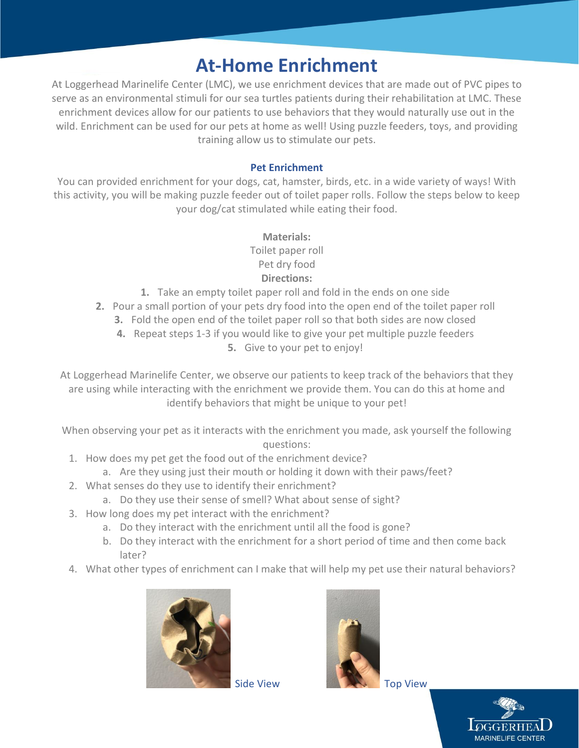### **At-Home Enrichment**

At Loggerhead Marinelife Center (LMC), we use enrichment devices that are made out of PVC pipes to serve as an environmental stimuli for our sea turtles patients during their rehabilitation at LMC. These enrichment devices allow for our patients to use behaviors that they would naturally use out in the wild. Enrichment can be used for our pets at home as well! Using puzzle feeders, toys, and providing training allow us to stimulate our pets.

#### **Pet Enrichment**

You can provided enrichment for your dogs, cat, hamster, birds, etc. in a wide variety of ways! With this activity, you will be making puzzle feeder out of toilet paper rolls. Follow the steps below to keep your dog/cat stimulated while eating their food.

#### **Materials:**

Toilet paper roll Pet dry food **Directions:** 

- **1.** Take an empty toilet paper roll and fold in the ends on one side
- **2.** Pour a small portion of your pets dry food into the open end of the toilet paper roll
	- **3.** Fold the open end of the toilet paper roll so that both sides are now closed
	- **4.** Repeat steps 1-3 if you would like to give your pet multiple puzzle feeders
		- **5.** Give to your pet to enjoy!

At Loggerhead Marinelife Center, we observe our patients to keep track of the behaviors that they are using while interacting with the enrichment we provide them. You can do this at home and identify behaviors that might be unique to your pet!

When observing your pet as it interacts with the enrichment you made, ask yourself the following questions:

- 1. How does my pet get the food out of the enrichment device?
	- a. Are they using just their mouth or holding it down with their paws/feet?
- 2. What senses do they use to identify their enrichment?
	- a. Do they use their sense of smell? What about sense of sight?
- 3. How long does my pet interact with the enrichment?
	- a. Do they interact with the enrichment until all the food is gone?
	- b. Do they interact with the enrichment for a short period of time and then come back later?
- 4. What other types of enrichment can I make that will help my pet use their natural behaviors?





Side ViewTop View